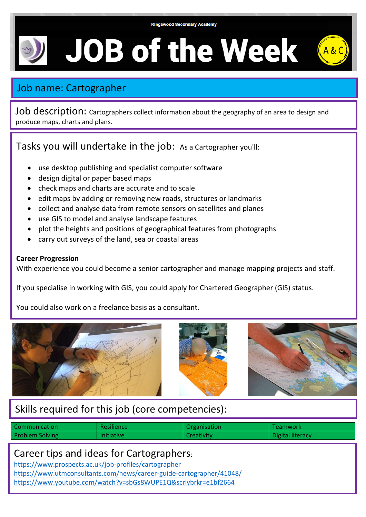# **JOB of the Week**

# Job name: Cartographer

Job description: Cartographers collect information about the geography of an area to design and produce maps, charts and plans.

## Tasks you will undertake in the job: As a Cartographer you'll:

- use desktop publishing and specialist computer software
- design digital or paper based maps
- check maps and charts are accurate and to scale
- edit maps by adding or removing new roads, structures or landmarks
- collect and analyse data from remote sensors on satellites and planes
- use GIS to model and analyse landscape features
- plot the heights and positions of geographical features from photographs
- carry out surveys of the land, sea or coastal areas

#### **Career Progression**

With experience you could become a senior cartographer and manage mapping projects and staff.

If you specialise in working with GIS, you could apply for Chartered Geographer (GIS) status.

You could also work on a freelance basis as a consultant.



## Skills required for this job (core competencies):

| Communication          | Resilience        | Organisation | <b>Teamwork</b>  |
|------------------------|-------------------|--------------|------------------|
| <b>Problem Solving</b> | <b>Initiative</b> | Creativity   | Digital literacy |

### Career tips and ideas for Cartographers:

<https://www.prospects.ac.uk/job-profiles/cartographer>

<https://www.utmconsultants.com/news/career-guide-cartographer/41048/> <https://www.youtube.com/watch?v=sbGs8WUPE1Q&scrlybrkr=e1bf2664>